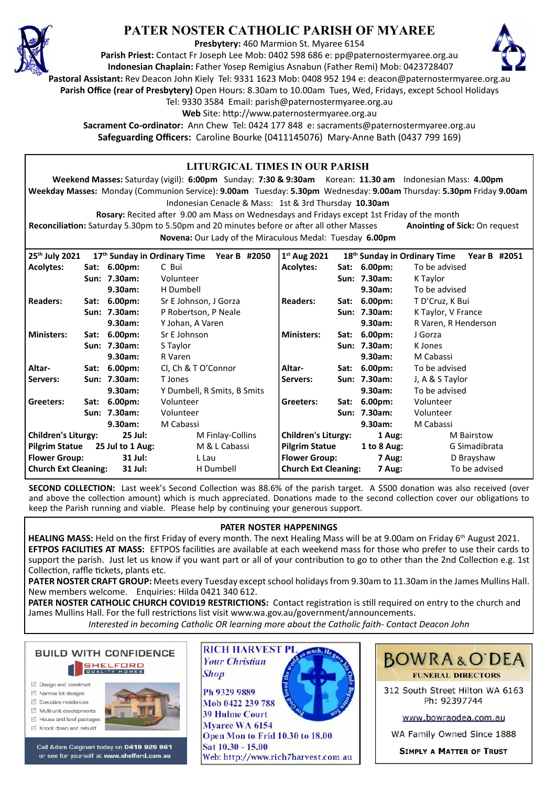

# **PATER NOSTER CATHOLIC PARISH OF MYAREE**

**Presbytery:** 460 Marmion St. Myaree 6154

**Parish Priest:** Contact Fr Joseph Lee Mob: 0402 598 686 e: pp@paternostermyaree.org.au **Indonesian Chaplain:** Father Yosep Remigius Asnabun (Father Remi) Mob: 0423728407



**Pastoral Assistant:** Rev Deacon John Kiely Tel: 9331 1623 Mob: 0408 952 194 e: deacon@paternostermyaree.org.au

**Parish Office (rear of Presbytery)** Open Hours: 8.30am to 10.00am Tues, Wed, Fridays, except School Holidays

Tel: 9330 3584 Email: parish@paternostermyaree.org.au

Web Site: http://www.paternostermyaree.org.au

**Sacrament Co-ordinator:** Ann Chew Tel: 0424 177 848 e: sacraments@paternostermyaree.org.au **Safeguarding Officers:** Caroline Bourke (0411145076) Mary-Anne Bath (0437 799 169)

| LITURGICAL TIMES IN OUR PARISH                                                                                             |                      |                           |                             |              |                             |              |               |                      |  |
|----------------------------------------------------------------------------------------------------------------------------|----------------------|---------------------------|-----------------------------|--------------|-----------------------------|--------------|---------------|----------------------|--|
| Weekend Masses: Saturday (vigil): 6:00pm Sunday: 7:30 & 9:30am Korean: 11.30 am Indonesian Mass: 4.00pm                    |                      |                           |                             |              |                             |              |               |                      |  |
| Weekday Masses: Monday (Communion Service): 9.00am Tuesday: 5.30pm Wednesday: 9.00am Thursday: 5.30pm Friday 9.00am        |                      |                           |                             |              |                             |              |               |                      |  |
| Indonesian Cenacle & Mass: 1st & 3rd Thursday 10.30am                                                                      |                      |                           |                             |              |                             |              |               |                      |  |
| Rosary: Recited after 9.00 am Mass on Wednesdays and Fridays except 1st Friday of the month                                |                      |                           |                             |              |                             |              |               |                      |  |
| Reconciliation: Saturday 5.30pm to 5.50pm and 20 minutes before or after all other Masses<br>Anointing of Sick: On request |                      |                           |                             |              |                             |              |               |                      |  |
| Novena: Our Lady of the Miraculous Medal: Tuesday 6.00pm                                                                   |                      |                           |                             |              |                             |              |               |                      |  |
| 17th Sunday in Ordinary Time<br>18 <sup>th</sup> Sunday in Ordinary Time<br>Year B #2051                                   |                      |                           |                             |              |                             |              |               |                      |  |
| 25th July 2021                                                                                                             |                      |                           |                             | Year B #2050 | $1st$ Aug 2021              |              |               |                      |  |
| <b>Acolytes:</b>                                                                                                           |                      | Sat: 6.00pm:              | C Bui                       |              | <b>Acolytes:</b>            |              | Sat: 6.00pm:  | To be advised        |  |
|                                                                                                                            |                      | Sun: 7.30am:              | Volunteer                   |              |                             |              | Sun: 7.30am:  | K Taylor             |  |
|                                                                                                                            |                      | 9.30am:                   | H Dumbell                   |              |                             |              | 9.30am:       | To be advised        |  |
| <b>Readers:</b>                                                                                                            |                      | Sat: 6.00pm:              | Sr E Johnson, J Gorza       |              | <b>Readers:</b>             |              | Sat: 6.00pm:  | T D'Cruz, K Bui      |  |
|                                                                                                                            |                      | Sun: 7.30am:              | P Robertson, P Neale        |              |                             |              | Sun: 7.30am:  | K Taylor, V France   |  |
|                                                                                                                            |                      | 9.30am:                   | Y Johan, A Varen            |              |                             |              | 9.30am:       | R Varen, R Henderson |  |
| <b>Ministers:</b>                                                                                                          |                      | Sat: 6.00pm:              | Sr E Johnson                |              | <b>Ministers:</b>           |              | Sat: 6.00pm:  | J Gorza              |  |
|                                                                                                                            |                      | Sun: 7.30am:              | S Taylor                    |              |                             |              | Sun: 7.30am:  | K Jones              |  |
|                                                                                                                            |                      | 9.30am:                   | R Varen                     |              |                             |              | 9.30am:       | M Cabassi            |  |
| Altar-                                                                                                                     |                      | Sat: 6.00pm:              | Cl, Ch & T O'Connor         |              | Altar-                      |              | Sat: 6.00pm:  | To be advised        |  |
| Servers:                                                                                                                   |                      | Sun: 7.30am:              | T Jones                     |              | Servers:                    |              | Sun: 7.30am:  | J, A & S Taylor      |  |
|                                                                                                                            |                      | 9.30am:                   | Y Dumbell, R Smits, B Smits |              |                             |              | 9.30am:       | To be advised        |  |
| Greeters:                                                                                                                  |                      | Sat: 6.00pm:              | Volunteer                   |              | Greeters:                   |              | Sat: 6.00pm:  | Volunteer            |  |
|                                                                                                                            |                      | Sun: 7.30am:<br>Volunteer |                             |              |                             | Sun: 7.30am: | Volunteer     |                      |  |
|                                                                                                                            | M Cabassi<br>9.30am: |                           |                             |              | 9.30am:                     | M Cabassi    |               |                      |  |
| <b>Children's Liturgy:</b><br>25 Jul:                                                                                      |                      |                           | M Finlay-Collins            |              | <b>Children's Liturgy:</b>  |              | 1 Aug:        | <b>M</b> Bairstow    |  |
| <b>Pilgrim Statue</b><br>25 Jul to 1 Aug:                                                                                  |                      |                           | M & L Cabassi               |              | <b>Pilgrim Statue</b>       |              | 1 to $8$ Aug: | G Simadibrata        |  |
| <b>Flower Group:</b><br>31 Jul:                                                                                            |                      |                           | L Lau                       |              | <b>Flower Group:</b>        |              | 7 Aug:        | D Brayshaw           |  |
| <b>Church Ext Cleaning:</b><br>31 Jul:                                                                                     |                      |                           | H Dumbell                   |              | <b>Church Ext Cleaning:</b> |              | 7 Aug:        | To be advised        |  |

**SECOND COLLECTION:** Last week's Second Collection was 88.6% of the parish target. A \$500 donation was also received (over and above the collection amount) which is much appreciated. Donations made to the second collection cover our obligations to keep the Parish running and viable. Please help by continuing your generous support.

# **PATER NOSTER HAPPENINGS**

**HEALING MASS:** Held on the first Friday of every month. The next Healing Mass will be at 9.00am on Friday 6th August 2021. **EFTPOS FACILITIES AT MASS:** EFTPOS facili�es are available at each weekend mass for those who prefer to use their cards to support the parish. Just let us know if you want part or all of your contribution to go to other than the 2nd Collection e.g. 1st Collection, raffle tickets, plants etc.

**PATER NOSTER CRAFT GROUP:** Meets every Tuesday except school holidays from 9.30am to 11.30am in the James Mullins Hall. New members welcome. Enquiries: Hilda 0421 340 612.

PATER NOSTER CATHOLIC CHURCH COVID19 RESTRICTIONS: Contact registration is still required on entry to the church and James Mullins Hall. For the full restrictions list visit www.wa.gov.au/government/announcements.

*Interested in becoming Catholic OR learning more about the Catholic faith- Contact Deacon John*

**BUILD WITH CONFIDENCE SHELFORD** 

- □ Design and construct
- $\triangledown$  Narrow lot designe
- $\triangledown$  Executive residences Multi-unit developments
- M House and land packages
- ☑ Knock down and rebuild



Call Adam Calginari today on 0419 929 961 or see for yourself at www.shelford.com.au



Ph 9329 9889 Mob 0422 239 788 **39 Hulme Court** Myaree WA 6154 Open Mon to Frid 10.30 to 18.00 Sat 10.30 - 15.00 Web: http://www.rich7harvest.com.au

**Shop** 



312 South Street Hilton WA 6163 Ph: 92397744

www.bowraodea.com.au

WA Family Owned Since 1888

**SIMPLY A MATTER OF TRUST**